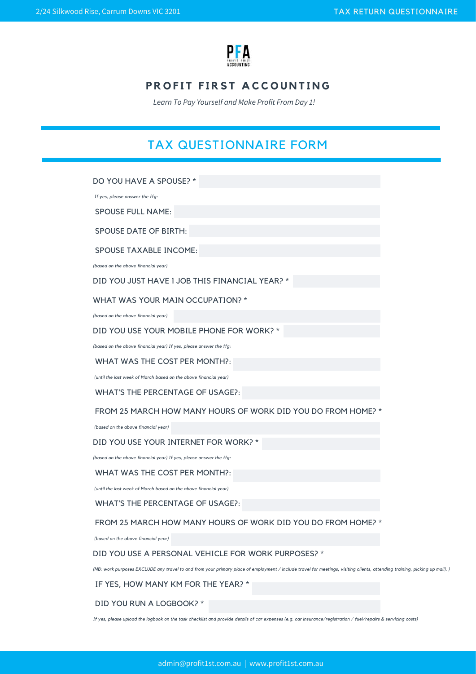

## **PROFIT FIRST ACCOUNTING**

*Learn To Pay Yourself and Make Profit From Day 1!* 

# TAX QUESTIONNAIRE FORM

DO YOU HAVE A SPOUSE? \*

 *If yes, please answer the ffg:*

SPOUSE FULL NAME:

SPOUSE DATE OF BIRTH:

SPOUSE TAXABLE INCOME:

*(based on the above financial year)*

DID YOU JUST HAVE 1 JOB THIS FINANCIAL YEAR? \*

#### WHAT WAS YOUR MAIN OCCUPATION? \*

*(based on the above financial year)*

#### DID YOU USE YOUR MOBILE PHONE FOR WORK? \*

*(based on the above financial year) If yes, please answer the ffg*:

WHAT WAS THE COST PER MONTH?:

 *(until the last week of March based on the above financial year)*

WHAT'S THE PERCENTAGE OF USAGE?:

FROM 25 MARCH HOW MANY HOURS OF WORK DID YOU DO FROM HOME? \*

 *(based on the above financial year)* 

DID YOU USE YOUR INTERNET FOR WORK? \*

*(based on the above financial year) If yes, please answer the ffg:*

WHAT WAS THE COST PER MONTH?:

*(until the last week of March based on the above financial year)*

#### WHAT'S THE PERCENTAGE OF USAGE?:

FROM 25 MARCH HOW MANY HOURS OF WORK DID YOU DO FROM HOME?

 *(based on the above financial year)* 

#### DID YOU USE A PERSONAL VEHICLE FOR WORK PURPOSES? \*

*(NB: work purposes EXCLUDE any travel to and from your primary place of employment / include travel for meetings, visiting clients, attending training, picking up mail). )*

IF YES, HOW MANY KM FOR THE YEAR? \*

DID YOU RUN A LOGBOOK? \*

*If yes, please upload the logbook on the task checklist and provide details of car expenses (e.g. car insurance/registration / fuel/repairs & servicing costs)*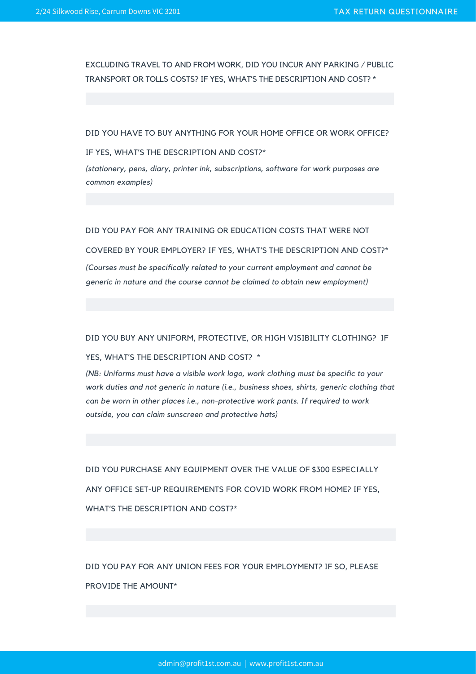EXCLUDING TRAVEL TO AND FROM WORK, DID YOU INCUR ANY PARKING / PUBLIC TRANSPORT OR TOLLS COSTS? IF YES, WHAT'S THE DESCRIPTION AND COST? \*

#### DID YOU HAVE TO BUY ANYTHING FOR YOUR HOME OFFICE OR WORK OFFICE?

IF YES, WHAT'S THE DESCRIPTION AND COST?\*

*(stationery, pens, diary, printer ink, subscriptions, software for work purposes are common examples)*

#### DID YOU PAY FOR ANY TRAINING OR EDUCATION COSTS THAT WERE NOT

COVERED BY YOUR EMPLOYER? IF YES, WHAT'S THE DESCRIPTION AND COST?\* *(Courses must be specifically related to your current employment and cannot be generic in nature and the course cannot be claimed to obtain new employment)*

#### DID YOU BUY ANY UNIFORM, PROTECTIVE, OR HIGH VISIBILITY CLOTHING? IF

#### YES, WHAT'S THE DESCRIPTION AND COST? \*

*(NB: Uniforms must have a visible work logo, work clothing must be specific to your work duties and not generic in nature (i.e., business shoes, shirts, generic clothing that can be worn in other places i.e., non-protective work pants. If required to work outside, you can claim sunscreen and protective hats)*

DID YOU PURCHASE ANY EQUIPMENT OVER THE VALUE OF \$300 ESPECIALLY ANY OFFICE SET-UP REQUIREMENTS FOR COVID WORK FROM HOME? IF YES, WHAT'S THE DESCRIPTION AND COST?\*

DID YOU PAY FOR ANY UNION FEES FOR YOUR EMPLOYMENT? IF SO, PLEASE PROVIDE THE AMOUNT\*